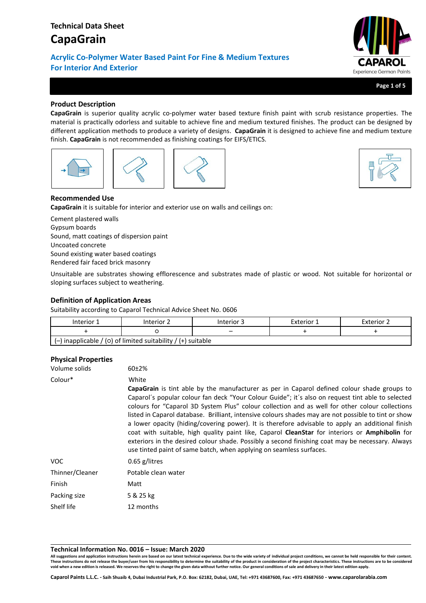# **Technical Data Sheet CapaGrain**

**Acrylic Co-Polymer Water Based Paint For Fine & Medium Textures For Interior And Exterior**



**Page 1 of 5**

# **Product Description**

**CapaGrain** is superior quality acrylic co-polymer water based texture finish paint with scrub resistance properties. The material is practically odorless and suitable to achieve fine and medium textured finishes. The product can be designed by different application methods to produce a variety of designs. **CapaGrain** it is designed to achieve fine and medium texture finish. **CapaGrain** is not recommended as finishing coatings for EIFS/ETICS.





## **Recommended Use**

**CapaGrain** it is suitable for interior and exterior use on walls and ceilings on:

Cement plastered walls Gypsum boards Sound, matt coatings of dispersion paint Uncoated concrete Sound existing water based coatings Rendered fair faced brick masonry

Unsuitable are substrates showing efflorescence and substrates made of plastic or wood. Not suitable for horizontal or sloping surfaces subject to weathering.

### **Definition of Application Areas**

Suitability according to Caparol Technical Advice Sheet No. 0606

| Interior 1                                                     | Interior 2 | Interior 3 | Exterior 1 | <b>Exterior 2</b> |  |
|----------------------------------------------------------------|------------|------------|------------|-------------------|--|
|                                                                |            | -          |            |                   |  |
| $(-)$ inapplicable / (0) of limited suitability / (+) suitable |            |            |            |                   |  |

### **Physical Properties**

| Volume solids   | 60±2%                                                                                                                                                                                                                                                                                                                                                                                                                                                                                                                                                                                                                                                                                                                                                                                                                      |
|-----------------|----------------------------------------------------------------------------------------------------------------------------------------------------------------------------------------------------------------------------------------------------------------------------------------------------------------------------------------------------------------------------------------------------------------------------------------------------------------------------------------------------------------------------------------------------------------------------------------------------------------------------------------------------------------------------------------------------------------------------------------------------------------------------------------------------------------------------|
| Colour*         | White<br><b>CapaGrain</b> is tint able by the manufacturer as per in Caparol defined colour shade groups to<br>Caparol's popular colour fan deck "Your Colour Guide"; it's also on request tint able to selected<br>colours for "Caparol 3D System Plus" colour collection and as well for other colour collections<br>listed in Caparol database. Brilliant, intensive colours shades may are not possible to tint or show<br>a lower opacity (hiding/covering power). It is therefore advisable to apply an additional finish<br>coat with suitable, high quality paint like, Caparol <b>CleanStar</b> for interiors or <b>Amphibolin</b> for<br>exteriors in the desired colour shade. Possibly a second finishing coat may be necessary. Always<br>use tinted paint of same batch, when applying on seamless surfaces. |
| VOC.            | $0.65$ g/litres                                                                                                                                                                                                                                                                                                                                                                                                                                                                                                                                                                                                                                                                                                                                                                                                            |
| Thinner/Cleaner | Potable clean water                                                                                                                                                                                                                                                                                                                                                                                                                                                                                                                                                                                                                                                                                                                                                                                                        |
| Finish          | Matt                                                                                                                                                                                                                                                                                                                                                                                                                                                                                                                                                                                                                                                                                                                                                                                                                       |
| Packing size    | 5 & 25 kg                                                                                                                                                                                                                                                                                                                                                                                                                                                                                                                                                                                                                                                                                                                                                                                                                  |
| Shelf life      | 12 months                                                                                                                                                                                                                                                                                                                                                                                                                                                                                                                                                                                                                                                                                                                                                                                                                  |

### **Technical Information No. 0016 – Issue: March 2020**

**All suggestions and application instructions herein are based on our latest technical experience. Due to the wide variety of individual project conditions, we cannot be held responsible for their content.**  These instructions do not release the buyer/user from his responsibility to determine the suitability of the product in consideration of the project characteristics. These instructions are to be considered<br>void when a new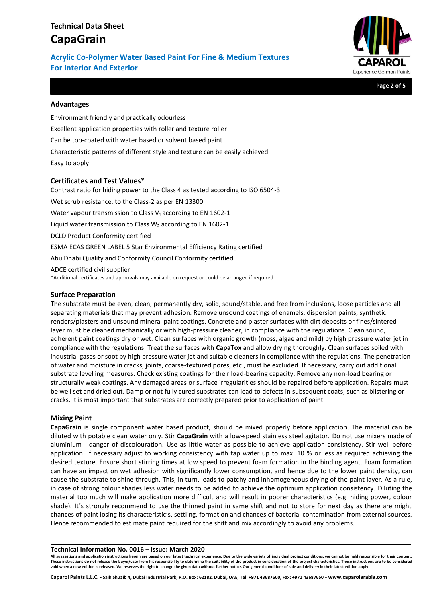# **Technical Data Sheet CapaGrain**

**Acrylic Co-Polymer Water Based Paint For Fine & Medium Textures For Interior And Exterior**



**Page 2 of 5**

### **Advantages**

Environment friendly and practically odourless Excellent application properties with roller and texture roller Can be top-coated with water based or solvent based paint Characteristic patterns of different style and texture can be easily achieved Easy to apply

### **Certificates and Test Values\***

Contrast ratio for hiding power to the Class 4 as tested according to ISO 6504-3 Wet scrub resistance, to the Class-2 as per EN 13300 Water vapour transmission to Class V<sub>1</sub> according to EN 1602-1 Liquid water transmission to Class  $W_2$  according to EN 1602-1 DCLD Product Conformity certified ESMA ECAS GREEN LABEL 5 Star Environmental Efficiency Rating certified Abu Dhabi Quality and Conformity Council Conformity certified ADCE certified civil supplier \*Additional certificates and approvals may available on request or could be arranged if required.

### **Surface Preparation**

The substrate must be even, clean, permanently dry, solid, sound/stable, and free from inclusions, loose particles and all separating materials that may prevent adhesion. Remove unsound coatings of enamels, dispersion paints, synthetic renders/plasters and unsound mineral paint coatings. Concrete and plaster surfaces with dirt deposits or fines/sintered layer must be cleaned mechanically or with high-pressure cleaner, in compliance with the regulations. Clean sound, adherent paint coatings dry or wet. Clean surfaces with organic growth (moss, algae and mild) by high pressure water jet in compliance with the regulations. Treat the surfaces with **CapaTox** and allow drying thoroughly. Clean surfaces soiled with industrial gases or soot by high pressure water jet and suitable cleaners in compliance with the regulations. The penetration of water and moisture in cracks, joints, coarse-textured pores, etc., must be excluded. If necessary, carry out additional substrate levelling measures. Check existing coatings for their load-bearing capacity. Remove any non-load bearing or structurally weak coatings. Any damaged areas or surface irregularities should be repaired before application. Repairs must be well set and dried out. Damp or not fully cured substrates can lead to defects in subsequent coats, such as blistering or cracks. It is most important that substrates are correctly prepared prior to application of paint.

### **Mixing Paint**

**CapaGrain** is single component water based product, should be mixed properly before application. The material can be diluted with potable clean water only. Stir **CapaGrain** with a low-speed stainless steel agitator. Do not use mixers made of aluminium - danger of discolouration. Use as little water as possible to achieve application consistency. Stir well before application. If necessary adjust to working consistency with tap water up to max. 10 % or less as required achieving the desired texture. Ensure short stirring times at low speed to prevent foam formation in the binding agent. Foam formation can have an impact on wet adhesion with significantly lower consumption, and hence due to the lower paint density, can cause the substrate to shine through. This, in turn, leads to patchy and inhomogeneous drying of the paint layer. As a rule, in case of strong colour shades less water needs to be added to achieve the optimum application consistency. Diluting the material too much will make application more difficult and will result in poorer characteristics (e.g. hiding power, colour shade). It´s strongly recommend to use the thinned paint in same shift and not to store for next day as there are might chances of paint losing its characteristic's, settling, formation and chances of bacterial contamination from external sources. Hence recommended to estimate paint required for the shift and mix accordingly to avoid any problems.

### **Technical Information No. 0016 – Issue: March 2020**

**All suggestions and application instructions herein are based on our latest technical experience. Due to the wide variety of individual project conditions, we cannot be held responsible for their content.**  These instructions do not release the buyer/user from his responsibility to determine the suitability of the product in consideration of the project characteristics. These instructions are to be considered **void when a new edition is released. We reserves the right to change the given data without further notice. Our general conditions of sale and delivery in their latest edition apply.**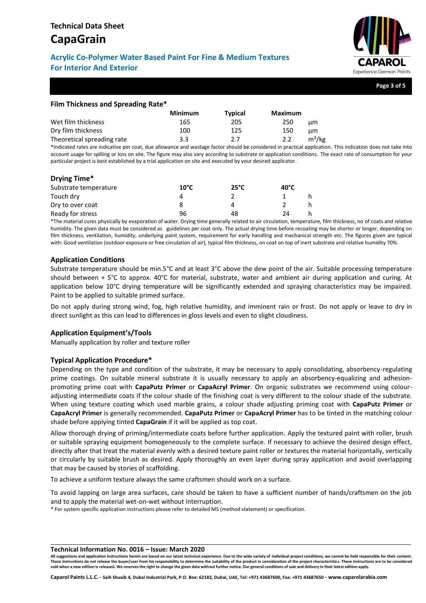# **CapaGrain**

# **Acrylic Co-Polymer Water Based Paint For Fine & Medium Textures For Interior And Exterior**



**Page 3 of 5**

# **Film Thickness and Spreading Rate\***

|                            | <b>Minimum</b> | <b>Typical</b> | <b>Maximum</b>  |
|----------------------------|----------------|----------------|-----------------|
| Wet film thickness         | 165            | 205            | 250<br>цm       |
| Dry film thickness         | 100            | 125            | 150<br>цm       |
| Theoretical spreading rate | 3.3            | 2.7            | $m^2/kg$<br>2.2 |

\*Indicated rates are indicative per coat, due allowance and wastage factor should be considered in practical application. This indication does not take into account usage for spilling or loss on site. The figure may also vary according to substrate or application conditions. The exact rate of consumption for your particular project is best established by a trial application on site and executed by your desired applicator.

# **Drying Time\*** Substrate temperature **10°C 25°C 40°C**

| Substrate temperature | TA C | 25 L | 40 L |  |
|-----------------------|------|------|------|--|
| Touch dry             |      |      |      |  |
| Dry to over coat      |      |      |      |  |
| Ready for stress      | 96   | 48   |      |  |

\*The material cures physically by evaporation of water. Drying time generally related to air circulation, temperature, film thickness, no of coats and relative humidity. The given data must be considered as guidelines per coat only. The actual drying time before recoating may be shorter or longer, depending on film thickness, ventilation, humidity, underlying paint system, requirement for early handling and mechanical strength etc. The figures given are typical with: Good ventilation (outdoor exposure or free circulation of air), typical film thickness, on coat on top of inert substrate and relative humidity 70%.

# **Application Conditions**

Substrate temperature should be min.5°C and at least 3°C above the dew point of the air. Suitable processing temperature should between + 5°C to approx. 40°C for material, substrate, water and ambient air during application and curing. At application below 10°C drying temperature will be significantly extended and spraying characteristics may be impaired. Paint to be applied to suitable primed surface.

Do not apply during strong wind, fog, high relative humidity, and imminent rain or frost. Do not apply or leave to dry in direct sunlight as this can lead to differences in gloss levels and even to slight cloudiness.

# **Application Equipment's/Tools**

Manually application by roller and texture roller

## **Typical Application Procedure\***

Depending on the type and condition of the substrate, it may be necessary to apply consolidating, absorbency-regulating prime coatings. On suitable mineral substrate it is usually necessary to apply an absorbency-equalizing and adhesionpromoting prime coat with **CapaPutz Primer** or **CapaAcryl Primer**. On organic substrates we recommend using colouradjusting intermediate coats if the colour shade of the finishing coat is very different to the colour shade of the substrate. When using texture coating which used marble grains, a colour shade adjusting priming coat with **CapaPutz Primer** or **CapaAcryl Primer** is generally recommended. **CapaPutz Primer** or **CapaAcryl Primer** has to be tinted in the matching colour shade before applying tinted **CapaGrain** if it will be applied as top coat.

Allow thorough drying of priming/intermediate coats before further application. Apply the textured paint with roller, brush or suitable spraying equipment homogeneously to the complete surface. If necessary to achieve the desired design effect, directly after that treat the material evenly with a desired texture paint roller or textures the material horizontally, vertically or circularly by suitable brush as desired. Apply thoroughly an even layer during spray application and avoid overlapping that may be caused by stories of scaffolding.

To achieve a uniform texture always the same craftsmen should work on a surface.

To avoid lapping on large area surfaces, care should be taken to have a sufficient number of hands/craftsmen on the job and to apply the material wet-on-wet without interruption.

\* For system specific application instructions please refer to detailed MS (method statement) or specification.

### **Technical Information No. 0016 – Issue: March 2020**

**All suggestions and application instructions herein are based on our latest technical experience. Due to the wide variety of individual project conditions, we cannot be held responsible for their content.**  These instructions do not release the buyer/user from his responsibility to determine the suitability of the product in consideration of the project characteristics. These instructions are to be considered **void when a new edition is released. We reserves the right to change the given data without further notice. Our general conditions of sale and delivery in their latest edition apply.**

**Caparol Paints L.L.C. - Saih Shuaib 4, Dubai Industrial Park, P.O. Box: 62182, Dubai, UAE, Tel: +971 43687600, Fax: +971 43687650 - www.caparolarabia.com**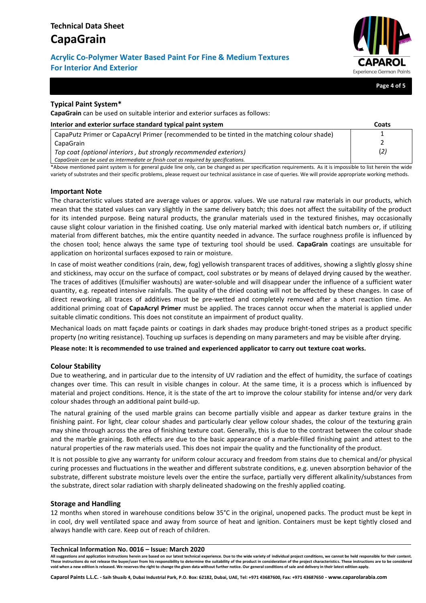# **Acrylic Co-Polymer Water Based Paint For Fine & Medium Textures For Interior And Exterior**



**Page 4 of 5**

## **Typical Paint System\***

**CapaGrain** can be used on suitable interior and exterior surfaces as follows:

| Interior and exterior surface standard typical paint system                                 | Coats |
|---------------------------------------------------------------------------------------------|-------|
| CapaPutz Primer or CapaAcryl Primer (recommended to be tinted in the matching colour shade) |       |
| CapaGrain                                                                                   |       |
| Top coat (optional interiors, but strongly recommended exteriors)                           | (2)   |
| CapaGrain can be used as intermediate or finish coat as required by specifications.         |       |

\*Above mentioned paint system is for general guide line only, can be changed as per specification requirements. As it is impossible to list herein the wide variety of substrates and their specific problems, please request our technical assistance in case of queries. We will provide appropriate working methods.

### **Important Note**

The characteristic values stated are average values or approx. values. We use natural raw materials in our products, which mean that the stated values can vary slightly in the same delivery batch; this does not affect the suitability of the product for its intended purpose. Being natural products, the granular materials used in the textured finishes, may occasionally cause slight colour variation in the finished coating. Use only material marked with identical batch numbers or, if utilizing material from different batches, mix the entire quantity needed in advance. The surface roughness profile is influenced by the chosen tool; hence always the same type of texturing tool should be used. **CapaGrain** coatings are unsuitable for application on horizontal surfaces exposed to rain or moisture.

In case of moist weather conditions (rain, dew, fog) yellowish transparent traces of additives, showing a slightly glossy shine and stickiness, may occur on the surface of compact, cool substrates or by means of delayed drying caused by the weather. The traces of additives (Emulsifier washouts) are water-soluble and will disappear under the influence of a sufficient water quantity, e.g. repeated intensive rainfalls. The quality of the dried coating will not be affected by these changes. In case of direct reworking, all traces of additives must be pre-wetted and completely removed after a short reaction time. An additional priming coat of **CapaAcryl Primer** must be applied. The traces cannot occur when the material is applied under suitable climatic conditions. This does not constitute an impairment of product quality.

Mechanical loads on matt façade paints or coatings in dark shades may produce bright-toned stripes as a product specific property (no writing resistance). Touching up surfaces is depending on many parameters and may be visible after drying.

**Please note: It is recommended to use trained and experienced applicator to carry out texture coat works.**

### **Colour Stability**

Due to weathering, and in particular due to the intensity of UV radiation and the effect of humidity, the surface of coatings changes over time. This can result in visible changes in colour. At the same time, it is a process which is influenced by material and project conditions. Hence, it is the state of the art to improve the colour stability for intense and/or very dark colour shades through an additional paint build-up.

The natural graining of the used marble grains can become partially visible and appear as darker texture grains in the finishing paint. For light, clear colour shades and particularly clear yellow colour shades, the colour of the texturing grain may shine through across the area of finishing texture coat. Generally, this is due to the contrast between the colour shade and the marble graining. Both effects are due to the basic appearance of a marble-filled finishing paint and attest to the natural properties of the raw materials used. This does not impair the quality and the functionality of the product.

It is not possible to give any warranty for uniform colour accuracy and freedom from stains due to chemical and/or physical curing processes and fluctuations in the weather and different substrate conditions, e.g. uneven absorption behavior of the substrate, different substrate moisture levels over the entire the surface, partially very different alkalinity/substances from the substrate, direct solar radiation with sharply delineated shadowing on the freshly applied coating.

### **Storage and Handling**

12 months when stored in warehouse conditions below 35°C in the original, unopened packs. The product must be kept in in cool, dry well ventilated space and away from source of heat and ignition. Containers must be kept tightly closed and always handle with care. Keep out of reach of children.

### **Technical Information No. 0016 – Issue: March 2020**

**All suggestions and application instructions herein are based on our latest technical experience. Due to the wide variety of individual project conditions, we cannot be held responsible for their content.**  These instructions do not release the buyer/user from his responsibility to determine the suitability of the product in consideration of the project characteristics. These instructions are to be considered **void when a new edition is released. We reserves the right to change the given data without further notice. Our general conditions of sale and delivery in their latest edition apply.**

**Caparol Paints L.L.C. - Saih Shuaib 4, Dubai Industrial Park, P.O. Box: 62182, Dubai, UAE, Tel: +971 43687600, Fax: +971 43687650 - www.caparolarabia.com**